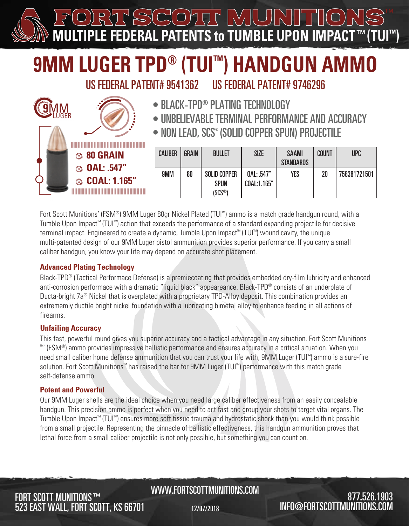**MULTIPLE FEDERAL PATENTS to TUMBLE UPON IMPACT"**  $\prime\prime$   $\Box$ 

# **9MM LUGER TPD® (TUI™) HANDGUN AMMO**

US FEDERAL PATENT# 9541362 US FEDERAL PATENT# 9746296

- BLACK-TPD® PLATING TECHNOLOGY
- UNBELIEVABLE TERMINAL PERFORMANCE AND ACCURACY
- NON LEAD, SCS® (SOLID COPPER SPUN) PROJECTILE

|  | <b>80 GRAIN</b><br>$\circledcirc$ OAL: .547" | <b>CALIBER</b> | <b>GRAIN</b> | <b>BULLET</b>                                             | <b>SIZE</b>               | <b>SAAMI</b><br><b>STANDARDS</b> | <b>COUNT</b> | <b>UPC</b>   |
|--|----------------------------------------------|----------------|--------------|-----------------------------------------------------------|---------------------------|----------------------------------|--------------|--------------|
|  | © COAL: 1.165"<br>.                          | 9MM            | 80           | <b>SOLID COPPER</b><br><b>SPUN</b><br>(SCS <sup>®</sup> ) | 0AL: .547"<br>COAL:1.165" | <b>YES</b>                       | 20           | 758381721501 |

Fort Scott Munitions' (FSM®) 9MM Luger 80gr Nickel Plated (TUI™) ammo is a match grade handgun round, with a Tumble Upon Impact™ (TUI™) action that exceeds the performance of a standard expanding projectile for decisive terminal impact. Engineered to create a dynamic, Tumble Upon Impact™ (TUI™) wound cavity, the unique multi-patented design of our 9MM Luger pistol ammunition provides superior performance. If you carry a small caliber handgun, you know your life may depend on accurate shot placement.

### **Advanced Plating Technology**

Black-TPD® (Tactical Performace Defense) is a premiecoating that provides embedded dry-film lubricity and enhanced anti-corrosion performace with a dramatic "liquid black" appeareance. Black-TPD® consists of an underplate of Ducta-bright 7a® Nickel that is overplated with a proprietary TPD-Alloy deposit. This combination provides an extrememly ductile bright nickel foundation with a lubricating bimetal alloy to enhance feeding in all actions of firearms.

### **Unfailing Accuracy**

**9**MM

LUGER

This fast, powerful round gives you superior accuracy and a tactical advantage in any situation. Fort Scott Munitions ™' (FSM®) ammo provides impressive ballistic performance and ensures accuracy in a critical situation. When you need small caliber home defense ammunition that you can trust your life with, 9MM Luger (TUI™) ammo is a sure-fire solution. Fort Scott Munitions™ has raised the bar for 9MM Luger (TUI™) performance with this match grade self-defense ammo.

#### **Potent and Powerful**

Our 9MM Luger shells are the ideal choice when you need large caliber effectiveness from an easily concealable handgun. This precision ammo is perfect when you need to act fast and group your shots to target vital organs. The Tumble Upon Impact™ (TUI™) ensures more soft tissue trauma and hydrostatic shock than you would think possible from a small projectile. Representing the pinnacle of ballistic effectiveness, this handgun ammunition proves that lethal force from a small caliber projectile is not only possible, but something you can count on.

## 523 EAST WALL, FORT SCOTT, KS 66701 **FORT SCOTT MUNITIONS™**

## WWW.FORTSCOTTMUNITIONS.COM

12/07/2018